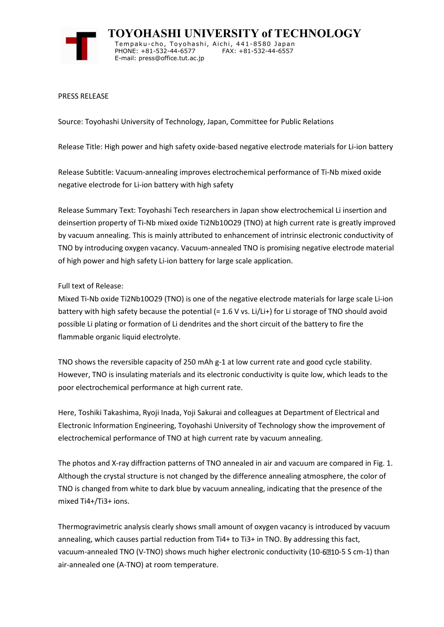

**TOYOHASHI UNIVERSITY of TECHNOLOGY** Tempaku-cho, Toyohashi, Aichi, 441-8580 Japan PHONE: +81-532-44-6577 FAX: +81-532-44-6557 E-mail: press@office.tut.ac.jp

PRESS RELEASE

Source: Toyohashi University of Technology, Japan, Committee for Public Relations

Release Title: High power and high safety oxide-based negative electrode materials for Li-ion battery

Release Subtitle: Vacuum-annealing improves electrochemical performance of Ti-Nb mixed oxide negative electrode for Li-ion battery with high safety

Release Summary Text: Toyohashi Tech researchers in Japan show electrochemical Li insertion and deinsertion property of Ti-Nb mixed oxide Ti2Nb10O29 (TNO) at high current rate is greatly improved by vacuum annealing. This is mainly attributed to enhancement of intrinsic electronic conductivity of TNO by introducing oxygen vacancy. Vacuum-annealed TNO is promising negative electrode material of high power and high safety Li-ion battery for large scale application.

## Full text of Release:

Mixed Ti-Nb oxide Ti2Nb10O29 (TNO) is one of the negative electrode materials for large scale Li-ion battery with high safety because the potential (= 1.6 V vs. Li/Li+) for Li storage of TNO should avoid possible Li plating or formation of Li dendrites and the short circuit of the battery to fire the flammable organic liquid electrolyte.

TNO shows the reversible capacity of 250 mAh g-1 at low current rate and good cycle stability. However, TNO is insulating materials and its electronic conductivity is quite low, which leads to the poor electrochemical performance at high current rate.

Here, Toshiki Takashima, Ryoji Inada, Yoji Sakurai and colleagues at Department of Electrical and Electronic Information Engineering, Toyohashi University of Technology show the improvement of electrochemical performance of TNO at high current rate by vacuum annealing.

The photos and X-ray diffraction patterns of TNO annealed in air and vacuum are compared in Fig. 1. Although the crystal structure is not changed by the difference annealing atmosphere, the color of TNO is changed from white to dark blue by vacuum annealing, indicating that the presence of the mixed Ti4+/Ti3+ ions.

Thermogravimetric analysis clearly shows small amount of oxygen vacancy is introduced by vacuum annealing, which causes partial reduction from Ti4+ to Ti3+ in TNO. By addressing this fact, vacuum-annealed TNO (V-TNO) shows much higher electronic conductivity (10-6210-5 S cm-1) than air-annealed one (A-TNO) at room temperature.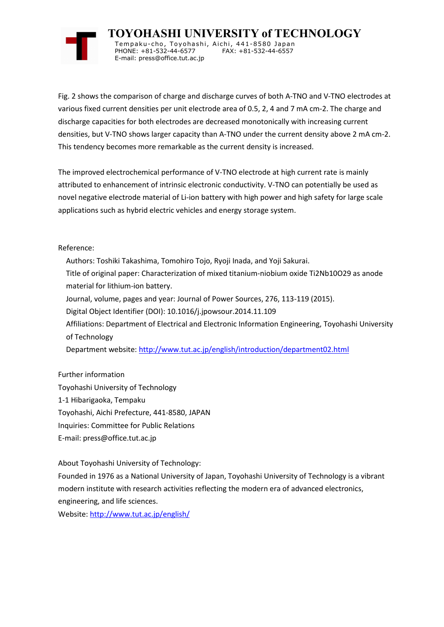

**TOYOHASHI UNIVERSITY of TECHNOLOGY** Tempaku-cho, Toyohashi, Aichi, 441-8580 Japan PHONE: +81-532-44-6577 FAX: +81-532-44-6557 E-mail: press@office.tut.ac.jp

Fig. 2 shows the comparison of charge and discharge curves of both A-TNO and V-TNO electrodes at various fixed current densities per unit electrode area of 0.5, 2, 4 and 7 mA cm-2. The charge and discharge capacities for both electrodes are decreased monotonically with increasing current densities, but V-TNO shows larger capacity than A-TNO under the current density above 2 mA cm-2. This tendency becomes more remarkable as the current density is increased.

The improved electrochemical performance of V-TNO electrode at high current rate is mainly attributed to enhancement of intrinsic electronic conductivity. V-TNO can potentially be used as novel negative electrode material of Li-ion battery with high power and high safety for large scale applications such as hybrid electric vehicles and energy storage system.

Reference:

- Authors: Toshiki Takashima, Tomohiro Tojo, Ryoji Inada, and Yoji Sakurai.
- Title of original paper: Characterization of mixed titanium-niobium oxide Ti2Nb10O29 as anode material for lithium-ion battery.
- Journal, volume, pages and year: Journal of Power Sources, 276, 113-119 (2015).
- Digital Object Identifier (DOI): 10.1016/j.jpowsour.2014.11.109
- Affiliations: Department of Electrical and Electronic Information Engineering, Toyohashi University of Technology

Department website: http://www.tut.ac.jp/english/introduction/department02.html

Further information Toyohashi University of Technology 1-1 Hibarigaoka, Tempaku Toyohashi, Aichi Prefecture, 441-8580, JAPAN Inquiries: Committee for Public Relations E-mail: press@office.tut.ac.jp

About Toyohashi University of Technology:

Founded in 1976 as a National University of Japan, Toyohashi University of Technology is a vibrant modern institute with research activities reflecting the modern era of advanced electronics, engineering, and life sciences.

Website: http://www.tut.ac.jp/english/